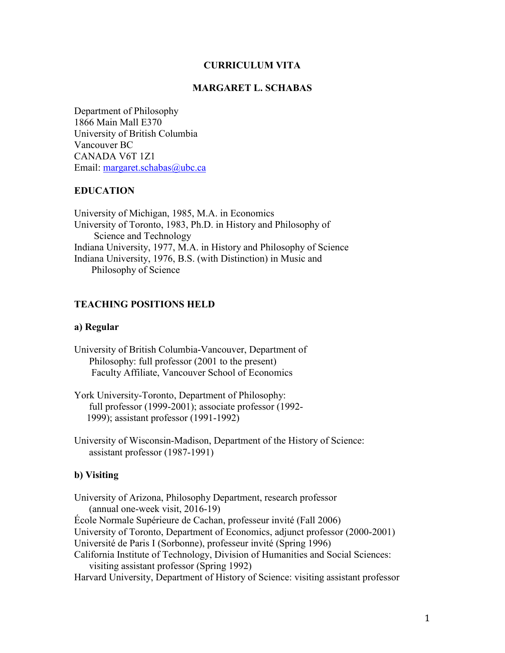### **CURRICULUM VITA**

### **MARGARET L. SCHABAS**

Department of Philosophy 1866 Main Mall E370 University of British Columbia Vancouver BC CANADA V6T 1Z1 Email: [margaret.schabas@ubc.ca](mailto:margaret.schabas@ubc.ca)

### **EDUCATION**

University of Michigan, 1985, M.A. in Economics University of Toronto, 1983, Ph.D. in History and Philosophy of Science and Technology Indiana University, 1977, M.A. in History and Philosophy of Science Indiana University, 1976, B.S. (with Distinction) in Music and Philosophy of Science

### **TEACHING POSITIONS HELD**

### **a) Regular**

- University of British Columbia-Vancouver, Department of Philosophy: full professor (2001 to the present) Faculty Affiliate, Vancouver School of Economics
- York University-Toronto, Department of Philosophy: full professor (1999-2001); associate professor (1992- 1999); assistant professor (1991-1992)

University of Wisconsin-Madison, Department of the History of Science: assistant professor (1987-1991)

#### **b) Visiting**

University of Arizona, Philosophy Department, research professor (annual one-week visit, 2016-19) École Normale Supérieure de Cachan, professeur invité (Fall 2006) University of Toronto, Department of Economics, adjunct professor (2000-2001) Université de Paris I (Sorbonne), professeur invité (Spring 1996) California Institute of Technology, Division of Humanities and Social Sciences: visiting assistant professor (Spring 1992) Harvard University, Department of History of Science: visiting assistant professor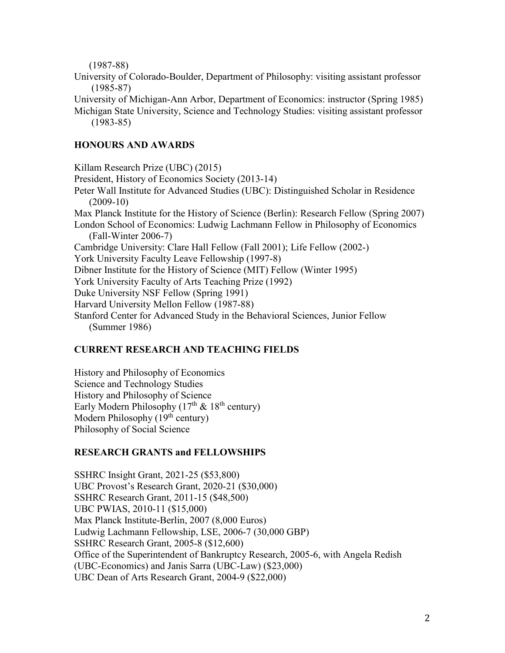(1987-88)

University of Colorado-Boulder, Department of Philosophy: visiting assistant professor (1985-87)

University of Michigan-Ann Arbor, Department of Economics: instructor (Spring 1985) Michigan State University, Science and Technology Studies: visiting assistant professor (1983-85)

# **HONOURS AND AWARDS**

Killam Research Prize (UBC) (2015) President, History of Economics Society (2013-14) Peter Wall Institute for Advanced Studies (UBC): Distinguished Scholar in Residence (2009-10) Max Planck Institute for the History of Science (Berlin): Research Fellow (Spring 2007) London School of Economics: Ludwig Lachmann Fellow in Philosophy of Economics (Fall-Winter 2006-7) Cambridge University: Clare Hall Fellow (Fall 2001); Life Fellow (2002-) York University Faculty Leave Fellowship (1997-8) Dibner Institute for the History of Science (MIT) Fellow (Winter 1995) York University Faculty of Arts Teaching Prize (1992) Duke University NSF Fellow (Spring 1991) Harvard University Mellon Fellow (1987-88) Stanford Center for Advanced Study in the Behavioral Sciences, Junior Fellow (Summer 1986)

# **CURRENT RESEARCH AND TEACHING FIELDS**

History and Philosophy of Economics Science and Technology Studies History and Philosophy of Science Early Modern Philosophy  $(17<sup>th</sup> \& 18<sup>th</sup>$  century) Modern Philosophy (19<sup>th</sup> century) Philosophy of Social Science

# **RESEARCH GRANTS and FELLOWSHIPS**

SSHRC Insight Grant, 2021-25 (\$53,800) UBC Provost's Research Grant, 2020-21 (\$30,000) SSHRC Research Grant, 2011-15 (\$48,500) UBC PWIAS, 2010-11 (\$15,000) Max Planck Institute-Berlin, 2007 (8,000 Euros) Ludwig Lachmann Fellowship, LSE, 2006-7 (30,000 GBP) SSHRC Research Grant, 2005-8 (\$12,600) Office of the Superintendent of Bankruptcy Research, 2005-6, with Angela Redish (UBC-Economics) and Janis Sarra (UBC-Law) (\$23,000) UBC Dean of Arts Research Grant, 2004-9 (\$22,000)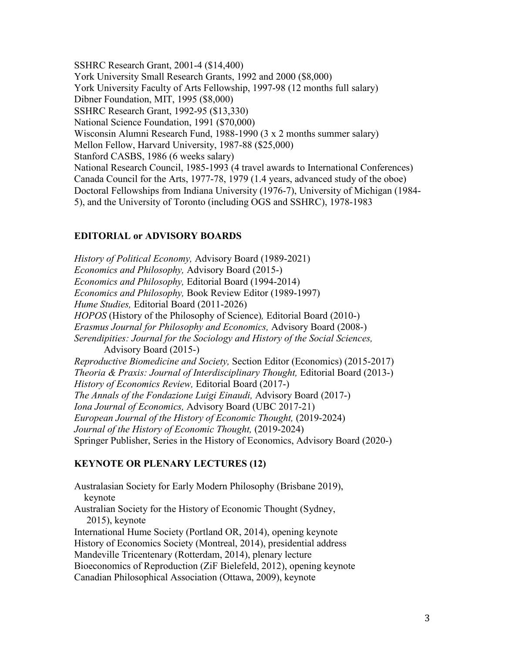SSHRC Research Grant, 2001-4 (\$14,400) York University Small Research Grants, 1992 and 2000 (\$8,000) York University Faculty of Arts Fellowship, 1997-98 (12 months full salary) Dibner Foundation, MIT, 1995 (\$8,000) SSHRC Research Grant, 1992-95 (\$13,330) National Science Foundation, 1991 (\$70,000) Wisconsin Alumni Research Fund, 1988-1990 (3 x 2 months summer salary) Mellon Fellow, Harvard University, 1987-88 (\$25,000) Stanford CASBS, 1986 (6 weeks salary) National Research Council, 1985-1993 (4 travel awards to International Conferences) Canada Council for the Arts, 1977-78, 1979 (1.4 years, advanced study of the oboe) Doctoral Fellowships from Indiana University (1976-7), University of Michigan (1984- 5), and the University of Toronto (including OGS and SSHRC), 1978-1983

### **EDITORIAL or ADVISORY BOARDS**

*History of Political Economy,* Advisory Board (1989-2021) *Economics and Philosophy,* Advisory Board (2015-) *Economics and Philosophy,* Editorial Board (1994-2014) *Economics and Philosophy,* Book Review Editor (1989-1997) *Hume Studies,* Editorial Board (2011-2026) *HOPOS* (History of the Philosophy of Science)*,* Editorial Board (2010-) *Erasmus Journal for Philosophy and Economics,* Advisory Board (2008-) *Serendipities: Journal for the Sociology and History of the Social Sciences,*  Advisory Board (2015-) *Reproductive Biomedicine and Society,* Section Editor (Economics) (2015-2017) *Theoria & Praxis: Journal of Interdisciplinary Thought, Editorial Board (2013-) History of Economics Review,* Editorial Board (2017-) *The Annals of the Fondazione Luigi Einaudi,* Advisory Board (2017-) *Iona Journal of Economics,* Advisory Board (UBC 2017-21) *European Journal of the History of Economic Thought,* (2019-2024) *Journal of the History of Economic Thought,* (2019-2024) Springer Publisher, Series in the History of Economics, Advisory Board (2020-)

### **KEYNOTE OR PLENARY LECTURES (12)**

Australasian Society for Early Modern Philosophy (Brisbane 2019), keynote Australian Society for the History of Economic Thought (Sydney, 2015), keynote International Hume Society (Portland OR, 2014), opening keynote History of Economics Society (Montreal, 2014), presidential address Mandeville Tricentenary (Rotterdam, 2014), plenary lecture Bioeconomics of Reproduction (ZiF Bielefeld, 2012), opening keynote Canadian Philosophical Association (Ottawa, 2009), keynote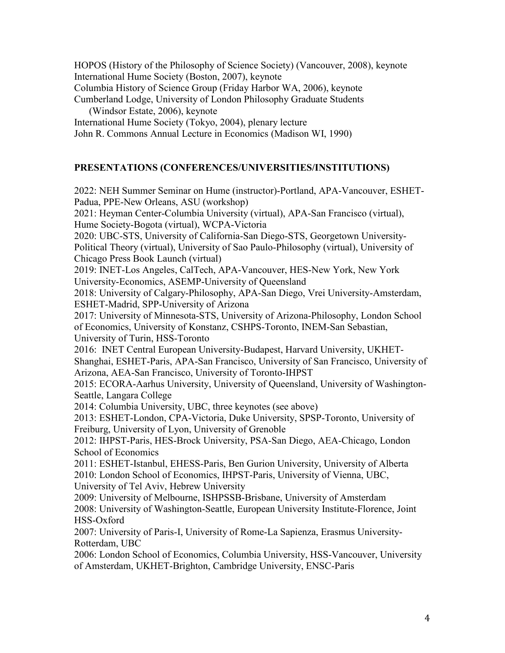HOPOS (History of the Philosophy of Science Society) (Vancouver, 2008), keynote International Hume Society (Boston, 2007), keynote Columbia History of Science Group (Friday Harbor WA, 2006), keynote Cumberland Lodge, University of London Philosophy Graduate Students (Windsor Estate, 2006), keynote International Hume Society (Tokyo, 2004), plenary lecture John R. Commons Annual Lecture in Economics (Madison WI, 1990)

### **PRESENTATIONS (CONFERENCES/UNIVERSITIES/INSTITUTIONS)**

2022: NEH Summer Seminar on Hume (instructor)-Portland, APA-Vancouver, ESHET-Padua, PPE-New Orleans, ASU (workshop) 2021: Heyman Center-Columbia University (virtual), APA-San Francisco (virtual), Hume Society-Bogota (virtual), WCPA-Victoria 2020: UBC-STS, University of California-San Diego-STS, Georgetown University-Political Theory (virtual), University of Sao Paulo-Philosophy (virtual), University of Chicago Press Book Launch (virtual) 2019: INET-Los Angeles, CalTech, APA-Vancouver, HES-New York, New York University-Economics, ASEMP-University of Queensland 2018: University of Calgary-Philosophy, APA-San Diego, Vrei University-Amsterdam, ESHET-Madrid, SPP-University of Arizona 2017: University of Minnesota-STS, University of Arizona-Philosophy, London School of Economics, University of Konstanz, CSHPS-Toronto, INEM-San Sebastian, University of Turin, HSS-Toronto 2016: INET Central European University-Budapest, Harvard University, UKHET-Shanghai, ESHET-Paris, APA-San Francisco, University of San Francisco, University of Arizona, AEA-San Francisco, University of Toronto-IHPST 2015: ECORA-Aarhus University, University of Queensland, University of Washington-Seattle, Langara College 2014: Columbia University, UBC, three keynotes (see above) 2013: ESHET-London, CPA-Victoria, Duke University, SPSP-Toronto, University of Freiburg, University of Lyon, University of Grenoble 2012: IHPST-Paris, HES-Brock University, PSA-San Diego, AEA-Chicago, London School of Economics 2011: ESHET-Istanbul, EHESS-Paris, Ben Gurion University, University of Alberta 2010: London School of Economics, IHPST-Paris, University of Vienna, UBC, University of Tel Aviv, Hebrew University 2009: University of Melbourne, ISHPSSB-Brisbane, University of Amsterdam 2008: University of Washington-Seattle, European University Institute-Florence, Joint HSS-Oxford 2007: University of Paris-I, University of Rome-La Sapienza, Erasmus University-Rotterdam, UBC 2006: London School of Economics, Columbia University, HSS-Vancouver, University of Amsterdam, UKHET-Brighton, Cambridge University, ENSC-Paris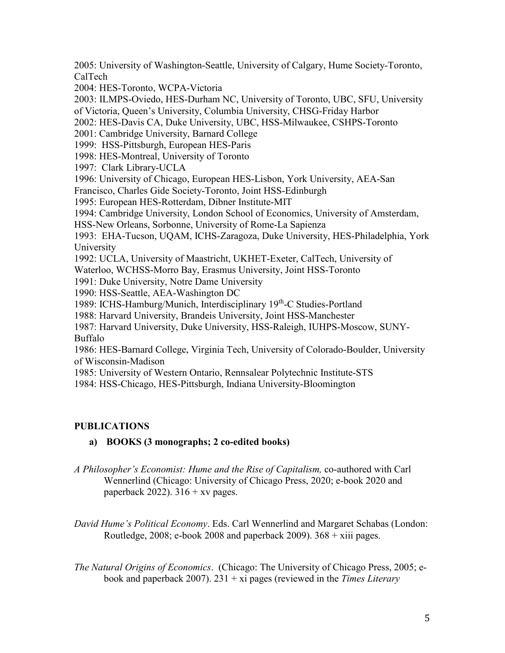2005: University of Washington-Seattle, University of Calgary, Hume Society-Toronto, CalTech

2004: HES-Toronto, WCPA-Victoria

2003: ILMPS-Oviedo, HES-Durham NC, University of Toronto, UBC, SFU, University of Victoria, Queen's University, Columbia University, CHSG-Friday Harbor 2002: HES-Davis CA, Duke University, UBC, HSS-Milwaukee, CSHPS-Toronto 2001: Cambridge University, Barnard College 1999: HSS-Pittsburgh, European HES-Paris 1998: HES-Montreal, University of Toronto 1997: Clark Library-UCLA 1996: University of Chicago, European HES-Lisbon, York University, AEA-San Francisco, Charles Gide Society-Toronto, Joint HSS-Edinburgh 1995: European HES-Rotterdam, Dibner Institute-MIT 1994: Cambridge University, London School of Economics, University of Amsterdam, HSS-New Orleans, Sorbonne, University of Rome-La Sapienza 1993: EHA-Tucson, UQAM, ICHS-Zaragoza, Duke University, HES-Philadelphia, York University 1992: UCLA, University of Maastricht, UKHET-Exeter, CalTech, University of Waterloo, WCHSS-Morro Bay, Erasmus University, Joint HSS-Toronto 1991: Duke University, Notre Dame University 1990: HSS-Seattle, AEA-Washington DC 1989: ICHS-Hamburg/Munich, Interdisciplinary 19th-C Studies-Portland 1988: Harvard University, Brandeis University, Joint HSS-Manchester 1987: Harvard University, Duke University, HSS-Raleigh, IUHPS-Moscow, SUNY-Buffalo 1986: HES-Barnard College, Virginia Tech, University of Colorado-Boulder, University of Wisconsin-Madison 1985: University of Western Ontario, Rennsalear Polytechnic Institute-STS 1984: HSS-Chicago, HES-Pittsburgh, Indiana University-Bloomington

# **PUBLICATIONS**

# **a) BOOKS (3 monographs; 2 co-edited books)**

- *A Philosopher's Economist: Hume and the Rise of Capitalism,* co-authored with Carl Wennerlind (Chicago: University of Chicago Press, 2020; e-book 2020 and paperback 2022).  $316 + xv$  pages.
- *David Hume's Political Economy*. Eds. Carl Wennerlind and Margaret Schabas (London: Routledge, 2008; e-book 2008 and paperback 2009).  $368 + x$ iii pages.
- *The Natural Origins of Economics*. (Chicago: The University of Chicago Press, 2005; ebook and paperback 2007). 231 + xi pages (reviewed in the *Times Literary*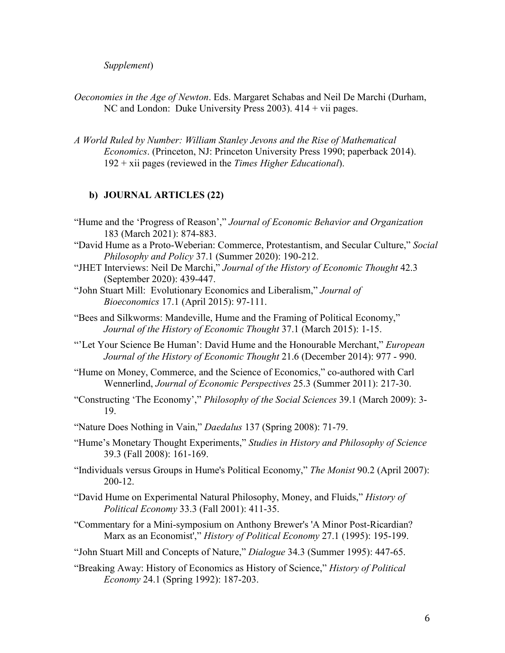*Supplement*)

- *Oeconomies in the Age of Newton*. Eds. Margaret Schabas and Neil De Marchi (Durham, NC and London: Duke University Press 2003). 414 + vii pages.
- *A World Ruled by Number: William Stanley Jevons and the Rise of Mathematical Economics*. (Princeton, NJ: Princeton University Press 1990; paperback 2014). 192 + xii pages (reviewed in the *Times Higher Educational*).

### **b) JOURNAL ARTICLES (22)**

- "Hume and the 'Progress of Reason'," *Journal of Economic Behavior and Organization*  183 (March 2021): 874-883.
- "David Hume as a Proto-Weberian: Commerce, Protestantism, and Secular Culture," *Social Philosophy and Policy* 37.1 (Summer 2020): 190-212.
- "JHET Interviews: Neil De Marchi," *Journal of the History of Economic Thought* 42.3 (September 2020): 439-447.
- "John Stuart Mill: Evolutionary Economics and Liberalism," *Journal of Bioeconomics* 17.1 (April 2015): 97-111.

"Bees and Silkworms: Mandeville, Hume and the Framing of Political Economy," *Journal of the History of Economic Thought* 37.1 (March 2015): 1-15.

- "'Let Your Science Be Human': David Hume and the Honourable Merchant," *European Journal of the History of Economic Thought* 21.6 (December 2014): 977 - 990.
- "Hume on Money, Commerce, and the Science of Economics," co-authored with Carl Wennerlind, *Journal of Economic Perspectives* 25.3 (Summer 2011): 217-30.
- "Constructing 'The Economy'," *Philosophy of the Social Sciences* 39.1 (March 2009): 3- 19.
- "Nature Does Nothing in Vain," *Daedalus* 137 (Spring 2008): 71-79.
- "Hume's Monetary Thought Experiments," *Studies in History and Philosophy of Science* 39.3 (Fall 2008): 161-169.
- "Individuals versus Groups in Hume's Political Economy," *The Monist* 90.2 (April 2007): 200-12.
- "David Hume on Experimental Natural Philosophy, Money, and Fluids," *History of Political Economy* 33.3 (Fall 2001): 411-35.
- "Commentary for a Mini-symposium on Anthony Brewer's 'A Minor Post-Ricardian? Marx as an Economist'," *History of Political Economy* 27.1 (1995): 195-199.
- "John Stuart Mill and Concepts of Nature," *Dialogue* 34.3 (Summer 1995): 447-65.
- "Breaking Away: History of Economics as History of Science," *History of Political Economy* 24.1 (Spring 1992): 187-203.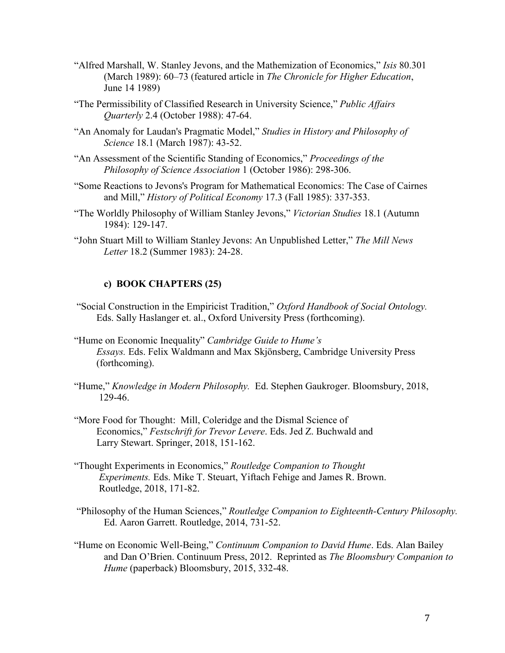- "Alfred Marshall, W. Stanley Jevons, and the Mathemization of Economics," *Isis* 80.301 (March 1989): 60–73 (featured article in *The Chronicle for Higher Education*, June 14 1989)
- "The Permissibility of Classified Research in University Science," *Public Affairs Quarterly* 2.4 (October 1988): 47-64.
- "An Anomaly for Laudan's Pragmatic Model," *Studies in History and Philosophy of Science* 18.1 (March 1987): 43-52.
- "An Assessment of the Scientific Standing of Economics," *Proceedings of the Philosophy of Science Association* 1 (October 1986): 298-306.
- "Some Reactions to Jevons's Program for Mathematical Economics: The Case of Cairnes and Mill," *History of Political Economy* 17.3 (Fall 1985): 337-353.
- "The Worldly Philosophy of William Stanley Jevons," *Victorian Studies* 18.1 (Autumn 1984): 129-147.
- "John Stuart Mill to William Stanley Jevons: An Unpublished Letter," *The Mill News Letter* 18.2 (Summer 1983): 24-28.

### **c) BOOK CHAPTERS (25)**

- "Social Construction in the Empiricist Tradition," *Oxford Handbook of Social Ontology.* Eds. Sally Haslanger et. al., Oxford University Press (forthcoming).
- "Hume on Economic Inequality" *Cambridge Guide to Hume's Essays.* Eds. Felix Waldmann and Max Skjönsberg, Cambridge University Press (forthcoming).
- "Hume," *Knowledge in Modern Philosophy.* Ed. Stephen Gaukroger. Bloomsbury, 2018, 129-46.
- "More Food for Thought: Mill, Coleridge and the Dismal Science of Economics," *Festschrift for Trevor Levere*. Eds. Jed Z. Buchwald and Larry Stewart. Springer, 2018, 151-162.
- "Thought Experiments in Economics," *Routledge Companion to Thought Experiments.* Eds. Mike T. Steuart, Yiftach Fehige and James R. Brown. Routledge, 2018, 171-82.
- "Philosophy of the Human Sciences," *Routledge Companion to Eighteenth-Century Philosophy.* Ed. Aaron Garrett. Routledge, 2014, 731-52.
- "Hume on Economic Well-Being," *Continuum Companion to David Hume*. Eds. Alan Bailey and Dan O'Brien. Continuum Press, 2012. Reprinted as *The Bloomsbury Companion to Hume* (paperback) Bloomsbury, 2015, 332-48.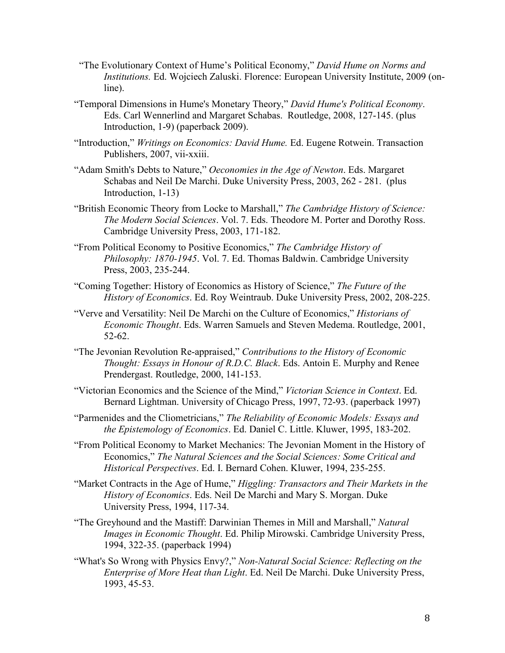- "The Evolutionary Context of Hume's Political Economy," *David Hume on Norms and Institutions.* Ed. Wojciech Zaluski. Florence: European University Institute, 2009 (online).
- "Temporal Dimensions in Hume's Monetary Theory," *David Hume's Political Economy*. Eds. Carl Wennerlind and Margaret Schabas. Routledge, 2008, 127-145. (plus Introduction, 1-9) (paperback 2009).
- "Introduction," *Writings on Economics: David Hume.* Ed. Eugene Rotwein. Transaction Publishers, 2007, vii-xxiii.
- "Adam Smith's Debts to Nature," *Oeconomies in the Age of Newton*. Eds. Margaret Schabas and Neil De Marchi. Duke University Press, 2003, 262 - 281. (plus Introduction, 1-13)
- "British Economic Theory from Locke to Marshall," *The Cambridge History of Science: The Modern Social Sciences*. Vol. 7. Eds. Theodore M. Porter and Dorothy Ross. Cambridge University Press, 2003, 171-182.
- "From Political Economy to Positive Economics," *The Cambridge History of Philosophy: 1870-1945*. Vol. 7. Ed. Thomas Baldwin. Cambridge University Press, 2003, 235-244.
- "Coming Together: History of Economics as History of Science," *The Future of the History of Economics*. Ed. Roy Weintraub. Duke University Press, 2002, 208-225.
- "Verve and Versatility: Neil De Marchi on the Culture of Economics," *Historians of Economic Thought*. Eds. Warren Samuels and Steven Medema. Routledge, 2001, 52-62.
- "The Jevonian Revolution Re-appraised," *Contributions to the History of Economic Thought: Essays in Honour of R.D.C. Black*. Eds. Antoin E. Murphy and Renee Prendergast. Routledge, 2000, 141-153.
- "Victorian Economics and the Science of the Mind," *Victorian Science in Context*. Ed. Bernard Lightman. University of Chicago Press, 1997, 72-93. (paperback 1997)
- "Parmenides and the Cliometricians," *The Reliability of Economic Models: Essays and the Epistemology of Economics*. Ed. Daniel C. Little. Kluwer, 1995, 183-202.
- "From Political Economy to Market Mechanics: The Jevonian Moment in the History of Economics," *The Natural Sciences and the Social Sciences: Some Critical and Historical Perspectives*. Ed. I. Bernard Cohen. Kluwer, 1994, 235-255.
- "Market Contracts in the Age of Hume," *Higgling: Transactors and Their Markets in the History of Economics*. Eds. Neil De Marchi and Mary S. Morgan. Duke University Press, 1994, 117-34.
- "The Greyhound and the Mastiff: Darwinian Themes in Mill and Marshall," *Natural Images in Economic Thought*. Ed. Philip Mirowski. Cambridge University Press, 1994, 322-35. (paperback 1994)
- "What's So Wrong with Physics Envy?," *Non-Natural Social Science: Reflecting on the Enterprise of More Heat than Light*. Ed. Neil De Marchi. Duke University Press, 1993, 45-53.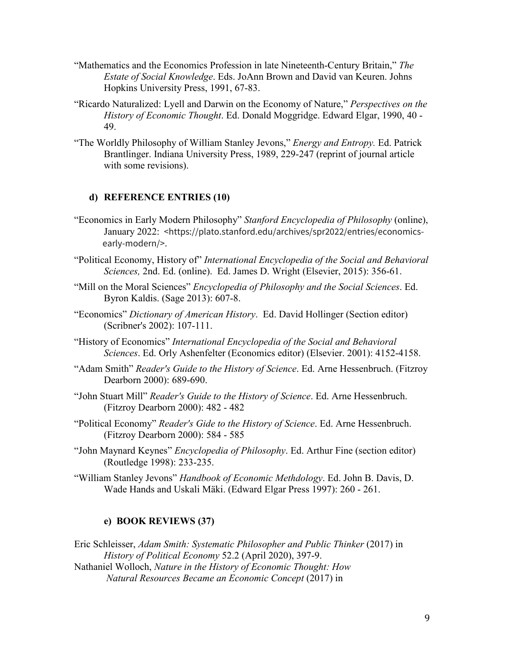- "Mathematics and the Economics Profession in late Nineteenth-Century Britain," *The Estate of Social Knowledge*. Eds. JoAnn Brown and David van Keuren. Johns Hopkins University Press, 1991, 67-83.
- "Ricardo Naturalized: Lyell and Darwin on the Economy of Nature," *Perspectives on the History of Economic Thought*. Ed. Donald Moggridge. Edward Elgar, 1990, 40 - 49.
- "The Worldly Philosophy of William Stanley Jevons," *Energy and Entropy.* Ed. Patrick Brantlinger. Indiana University Press, 1989, 229-247 (reprint of journal article with some revisions).

### **d) REFERENCE ENTRIES (10)**

- "Economics in Early Modern Philosophy" *Stanford Encyclopedia of Philosophy* (online), January 2022: <https://plato.stanford.edu/archives/spr2022/entries/economics early-modern/>.
- "Political Economy, History of" *International Encyclopedia of the Social and Behavioral Sciences,* 2nd. Ed. (online). Ed. James D. Wright (Elsevier, 2015): 356-61.
- "Mill on the Moral Sciences" *Encyclopedia of Philosophy and the Social Sciences*. Ed. Byron Kaldis. (Sage 2013): 607-8.
- "Economics" *Dictionary of American History*. Ed. David Hollinger (Section editor) (Scribner's 2002): 107-111.
- "History of Economics" *International Encyclopedia of the Social and Behavioral Sciences*. Ed. Orly Ashenfelter (Economics editor) (Elsevier. 2001): 4152-4158.
- "Adam Smith" *Reader's Guide to the History of Science*. Ed. Arne Hessenbruch. (Fitzroy Dearborn 2000): 689-690.
- "John Stuart Mill" *Reader's Guide to the History of Science*. Ed. Arne Hessenbruch. (Fitzroy Dearborn 2000): 482 - 482
- "Political Economy" *Reader's Gide to the History of Science*. Ed. Arne Hessenbruch. (Fitzroy Dearborn 2000): 584 - 585
- "John Maynard Keynes" *Encyclopedia of Philosophy*. Ed. Arthur Fine (section editor) (Routledge 1998): 233-235.
- "William Stanley Jevons" *Handbook of Economic Methdology*. Ed. John B. Davis, D. Wade Hands and Uskali Mäki. (Edward Elgar Press 1997): 260 - 261.

### **e) BOOK REVIEWS (37)**

Eric Schleisser, *Adam Smith: Systematic Philosopher and Public Thinker* (2017) in *History of Political Economy* 52.2 (April 2020), 397-9. Nathaniel Wolloch, *Nature in the History of Economic Thought: How Natural Resources Became an Economic Concept* (2017) in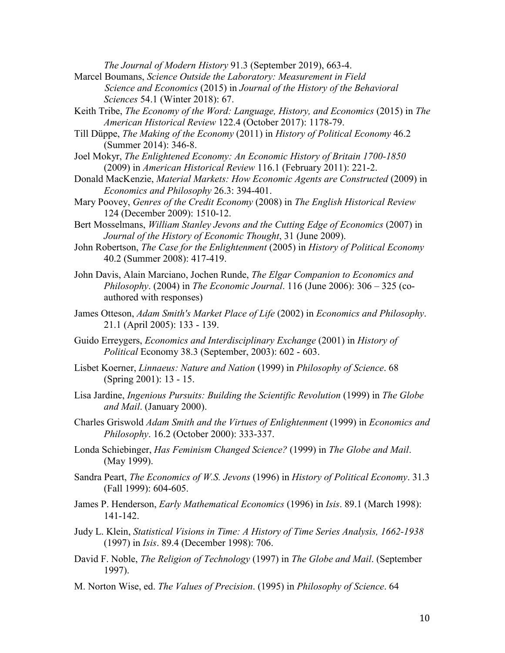*The Journal of Modern History* 91.3 (September 2019), 663-4.

- Marcel Boumans, *Science Outside the Laboratory: Measurement in Field Science and Economics* (2015) in *Journal of the History of the Behavioral Sciences* 54.1 (Winter 2018): 67.
- Keith Tribe, *The Economy of the Word: Language, History, and Economics* (2015) in *The American Historical Review* 122.4 (October 2017): 1178-79.
- Till Düppe, *The Making of the Economy* (2011) in *History of Political Economy* 46.2 (Summer 2014): 346-8.
- Joel Mokyr, *The Enlightened Economy: An Economic History of Britain 1700-1850*  (2009) in *American Historical Review* 116.1 (February 2011): 221-2.
- Donald MacKenzie, *Material Markets: How Economic Agents are Constructed* (2009) in *Economics and Philosophy* 26.3: 394-401.
- Mary Poovey, *Genres of the Credit Economy* (2008) in *The English Historical Review*  124 (December 2009): 1510-12.
- Bert Mosselmans, *William Stanley Jevons and the Cutting Edge of Economics* (2007) in *Journal of the History of Economic Thought*, 31 (June 2009).
- John Robertson, *The Case for the Enlightenment* (2005) in *History of Political Economy* 40.2 (Summer 2008): 417-419.
- John Davis, Alain Marciano, Jochen Runde, *The Elgar Companion to Economics and Philosophy*. (2004) in *The Economic Journal*. 116 (June 2006): 306 – 325 (coauthored with responses)
- James Otteson, *Adam Smith's Market Place of Life* (2002) in *Economics and Philosophy*. 21.1 (April 2005): 133 - 139.
- Guido Erreygers, *Economics and Interdisciplinary Exchange* (2001) in *History of Political* Economy 38.3 (September, 2003): 602 - 603.
- Lisbet Koerner, *Linnaeus: Nature and Nation* (1999) in *Philosophy of Science*. 68 (Spring 2001): 13 - 15.
- Lisa Jardine, *Ingenious Pursuits: Building the Scientific Revolution* (1999) in *The Globe and Mail*. (January 2000).
- Charles Griswold *Adam Smith and the Virtues of Enlightenment* (1999) in *Economics and Philosophy*. 16.2 (October 2000): 333-337.
- Londa Schiebinger, *Has Feminism Changed Science?* (1999) in *The Globe and Mail*. (May 1999).
- Sandra Peart, *The Economics of W.S. Jevons* (1996) in *History of Political Economy*. 31.3 (Fall 1999): 604-605.
- James P. Henderson, *Early Mathematical Economics* (1996) in *Isis*. 89.1 (March 1998): 141-142.
- Judy L. Klein, *Statistical Visions in Time: A History of Time Series Analysis, 1662-1938* (1997) in *Isis*. 89.4 (December 1998): 706.
- David F. Noble, *The Religion of Technology* (1997) in *The Globe and Mail*. (September 1997).
- M. Norton Wise, ed. *The Values of Precision*. (1995) in *Philosophy of Science*. 64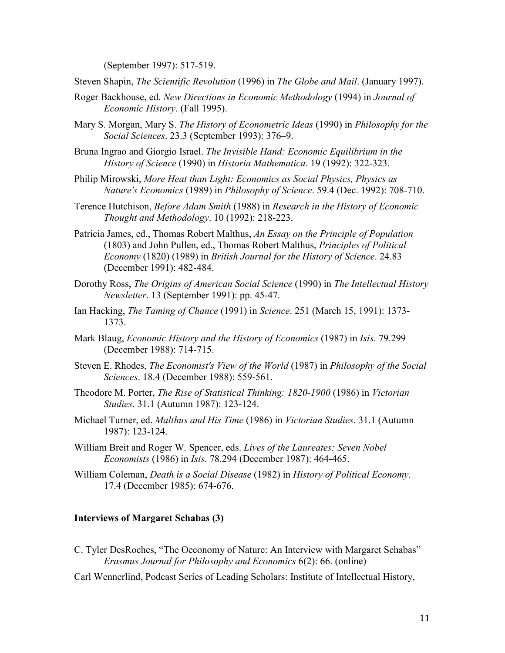(September 1997): 517-519.

Steven Shapin, *The Scientific Revolution* (1996) in *The Globe and Mail*. (January 1997).

- Roger Backhouse, ed. *New Directions in Economic Methodology* (1994) in *Journal of Economic History*. (Fall 1995).
- Mary S. Morgan, Mary S. *The History of Econometric Ideas* (1990) in *Philosophy for the Social Sciences*. 23.3 (September 1993): 376–9.
- Bruna Ingrao and Giorgio Israel. *The Invisible Hand: Economic Equilibrium in the History of Science* (1990) in *Historia Mathematica*. 19 (1992): 322-323.
- Philip Mirowski, *More Heat than Light: Economics as Social Physics, Physics as Nature's Economics* (1989) in *Philosophy of Science*. 59.4 (Dec. 1992): 708-710.
- Terence Hutchison, *Before Adam Smith* (1988) in *Research in the History of Economic Thought and Methodology*. 10 (1992): 218-223.
- Patricia James, ed., Thomas Robert Malthus, *An Essay on the Principle of Population* (1803) and John Pullen, ed., Thomas Robert Malthus, *Principles of Political Economy* (1820) (1989) in *British Journal for the History of Science*. 24.83 (December 1991): 482-484.
- Dorothy Ross, *The Origins of American Social Science* (1990) in *The Intellectual History Newsletter*. 13 (September 1991): pp. 45-47.
- Ian Hacking, *The Taming of Chance* (1991) in *Science*. 251 (March 15, 1991): 1373- 1373.
- Mark Blaug, *Economic History and the History of Economics* (1987) in *Isis*. 79.299 (December 1988): 714-715.
- Steven E. Rhodes, *The Economist's View of the World* (1987) in *Philosophy of the Social Sciences*. 18.4 (December 1988): 559-561.
- Theodore M. Porter, *The Rise of Statistical Thinking: 1820-1900* (1986) in *Victorian Studies*. 31.1 (Autumn 1987): 123-124.
- Michael Turner, ed. *Malthus and His Time* (1986) in *Victorian Studies*. 31.1 (Autumn 1987): 123-124.
- William Breit and Roger W. Spencer, eds. *Lives of the Laureates: Seven Nobel Economists* (1986) in *Isis*. 78.294 (December 1987): 464-465.
- William Coleman, *Death is a Social Disease* (1982) in *History of Political Economy*. 17.4 (December 1985): 674-676.

#### **Interviews of Margaret Schabas (3)**

- C. Tyler DesRoches, "The Oeconomy of Nature: An Interview with Margaret Schabas" *Erasmus Journal for Philosophy and Economics* 6(2): 66. (online)
- Carl Wennerlind, Podcast Series of Leading Scholars: Institute of Intellectual History,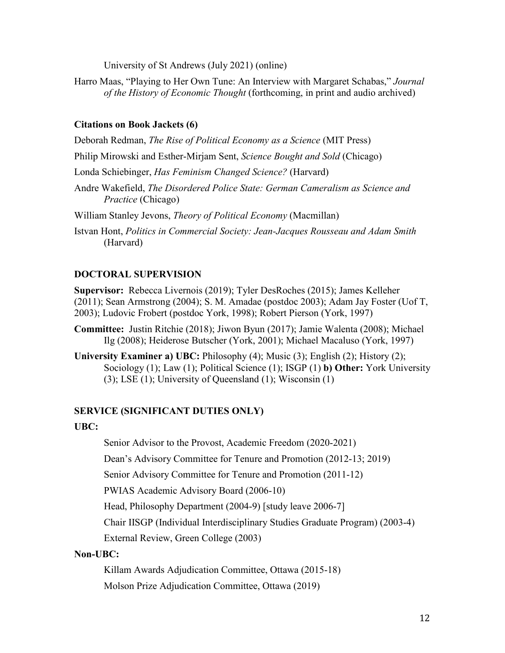University of St Andrews (July 2021) (online)

Harro Maas, "Playing to Her Own Tune: An Interview with Margaret Schabas," *Journal of the History of Economic Thought* (forthcoming, in print and audio archived)

# **Citations on Book Jackets (6)**

Deborah Redman, *The Rise of Political Economy as a Science* (MIT Press)

Philip Mirowski and Esther-Mirjam Sent, *Science Bought and Sold* (Chicago)

Londa Schiebinger, *Has Feminism Changed Science?* (Harvard)

Andre Wakefield, *The Disordered Police State: German Cameralism as Science and Practice* (Chicago)

William Stanley Jevons, *Theory of Political Economy* (Macmillan)

Istvan Hont, *Politics in Commercial Society: Jean-Jacques Rousseau and Adam Smith*  (Harvard)

# **DOCTORAL SUPERVISION**

**Supervisor:** Rebecca Livernois (2019); Tyler DesRoches (2015); James Kelleher (2011); Sean Armstrong (2004); S. M. Amadae (postdoc 2003); Adam Jay Foster (Uof T, 2003); Ludovic Frobert (postdoc York, 1998); Robert Pierson (York, 1997)

**Committee:** Justin Ritchie (2018); Jiwon Byun (2017); Jamie Walenta (2008); Michael Ilg (2008); Heiderose Butscher (York, 2001); Michael Macaluso (York, 1997)

**University Examiner a) UBC:** Philosophy (4); Music (3); English (2); History (2); Sociology (1); Law (1); Political Science (1); ISGP (1) **b) Other:** York University (3); LSE (1); University of Queensland (1); Wisconsin (1)

# **SERVICE (SIGNIFICANT DUTIES ONLY)**

# **UBC:**

Senior Advisor to the Provost, Academic Freedom (2020-2021)

Dean's Advisory Committee for Tenure and Promotion (2012-13; 2019)

Senior Advisory Committee for Tenure and Promotion (2011-12)

PWIAS Academic Advisory Board (2006-10)

Head, Philosophy Department (2004-9) [study leave 2006-7]

Chair IISGP (Individual Interdisciplinary Studies Graduate Program) (2003-4)

External Review, Green College (2003)

# **Non-UBC:**

Killam Awards Adjudication Committee, Ottawa (2015-18)

Molson Prize Adjudication Committee, Ottawa (2019)